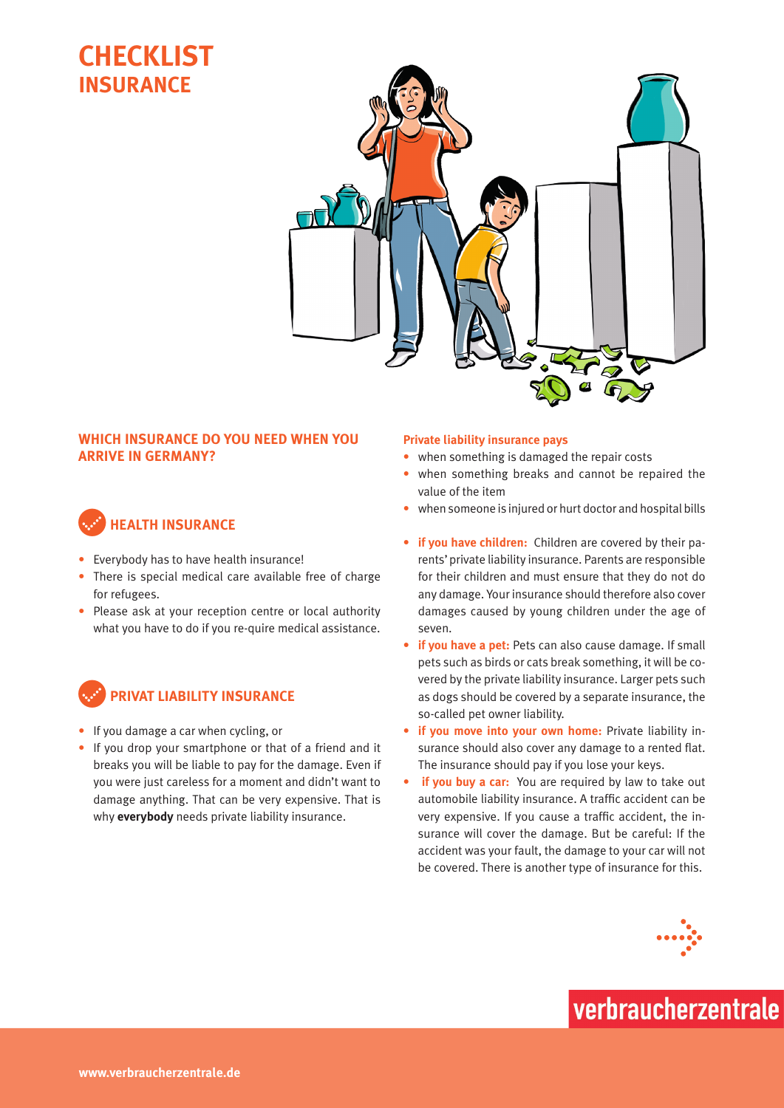### **Checklist insurance**



### **Which insurance do you need when you arrive in Germany?**

### c**Health insurance**

- Everybody has to have health insurance!
- There is special medical care available free of charge for refugees.
- Please ask at your reception centre or local authority what you have to do if you re-quire medical assistance.



- If you damage a car when cycling, or
- If you drop your smartphone or that of a friend and it breaks you will be liable to pay for the damage. Even if you were just careless for a moment and didn't want to damage anything. That can be very expensive. That is why **everybody** needs private liability insurance.

#### **Private liability insurance pays**

- when something is damaged the repair costs
- when something breaks and cannot be repaired the value of the item
- when someone is injured or hurt doctor and hospital bills
- **• if you have children:** Children are covered by their parents'private liability insurance. Parents are responsible for their children and must ensure that they do not do any damage. Your insurance should therefore also cover damages caused by young children under the age of seven.
- **• if you have a pet:** Pets can also cause damage. If small pets such as birds or cats break something, it will be covered by the private liability insurance. Larger pets such as dogs should be covered by a separate insurance, the so-called pet owner liability.
- **• if you move into your own home:** Private liability insurance should also cover any damage to a rented flat. The insurance should pay if you lose your keys.
- **if you buy a car:** You are required by law to take out automobile liability insurance. A traffic accident can be very expensive. If you cause a traffic accident, the insurance will cover the damage. But be careful: If the accident was your fault, the damage to your car will not be covered. There is another type of insurance for this.